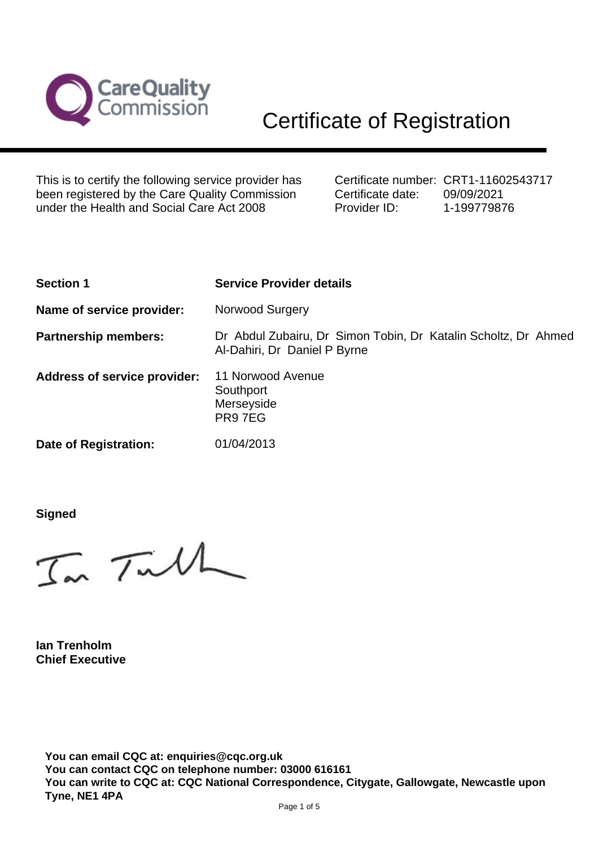

This is to certify the following service provider has been registered by the Care Quality Commission under the Health and Social Care Act 2008

Certificate number: CRT1-11602543717 Certificate date: Provider ID: 09/09/2021 1-199779876

| <b>Section 1</b>                    | <b>Service Provider details</b>                                                                |
|-------------------------------------|------------------------------------------------------------------------------------------------|
| Name of service provider:           | Norwood Surgery                                                                                |
| <b>Partnership members:</b>         | Dr Abdul Zubairu, Dr Simon Tobin, Dr Katalin Scholtz, Dr Ahmed<br>Al-Dahiri, Dr Daniel P Byrne |
| <b>Address of service provider:</b> | 11 Norwood Avenue<br>Southport<br>Merseyside<br>PR97EG                                         |
| Date of Registration:               | 01/04/2013                                                                                     |

**Signed**

In Tull

**Ian Trenholm Chief Executive**

**You can email CQC at: enquiries@cqc.org.uk You can contact CQC on telephone number: 03000 616161 You can write to CQC at: CQC National Correspondence, Citygate, Gallowgate, Newcastle upon Tyne, NE1 4PA**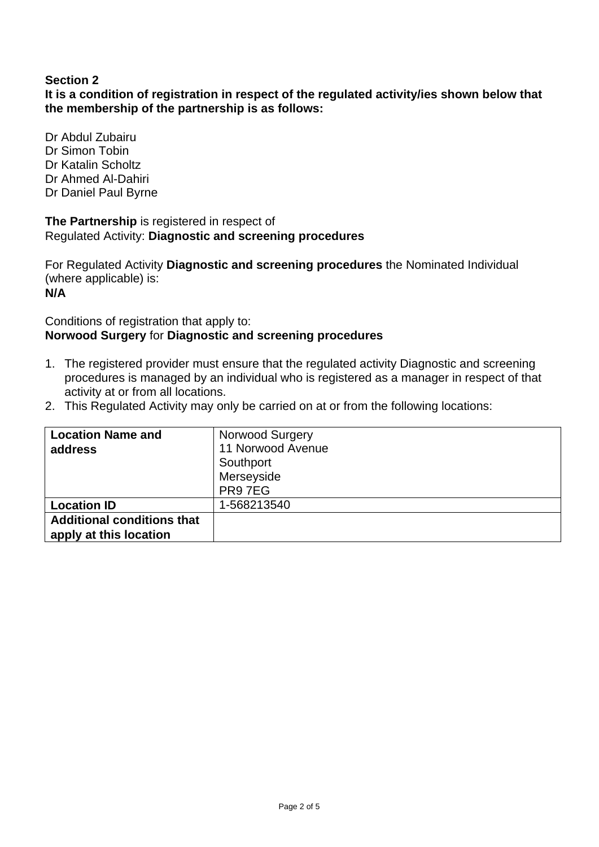# **Section 2**

**It is a condition of registration in respect of the regulated activity/ies shown below that the membership of the partnership is as follows:**

Dr Abdul Zubairu Dr Simon Tobin Dr Katalin Scholtz Dr Ahmed Al-Dahiri Dr Daniel Paul Byrne

**The Partnership** is registered in respect of Regulated Activity: **Diagnostic and screening procedures**

For Regulated Activity **Diagnostic and screening procedures** the Nominated Individual (where applicable) is: **N/A**

#### Conditions of registration that apply to: **Norwood Surgery** for **Diagnostic and screening procedures**

- 1. The registered provider must ensure that the regulated activity Diagnostic and screening procedures is managed by an individual who is registered as a manager in respect of that activity at or from all locations.
- 2. This Regulated Activity may only be carried on at or from the following locations:

| <b>Location Name and</b>                                    | <b>Norwood Surgery</b> |
|-------------------------------------------------------------|------------------------|
| address                                                     | 11 Norwood Avenue      |
|                                                             | Southport              |
|                                                             | Merseyside             |
|                                                             | PR97EG                 |
| <b>Location ID</b>                                          | 1-568213540            |
| <b>Additional conditions that</b><br>apply at this location |                        |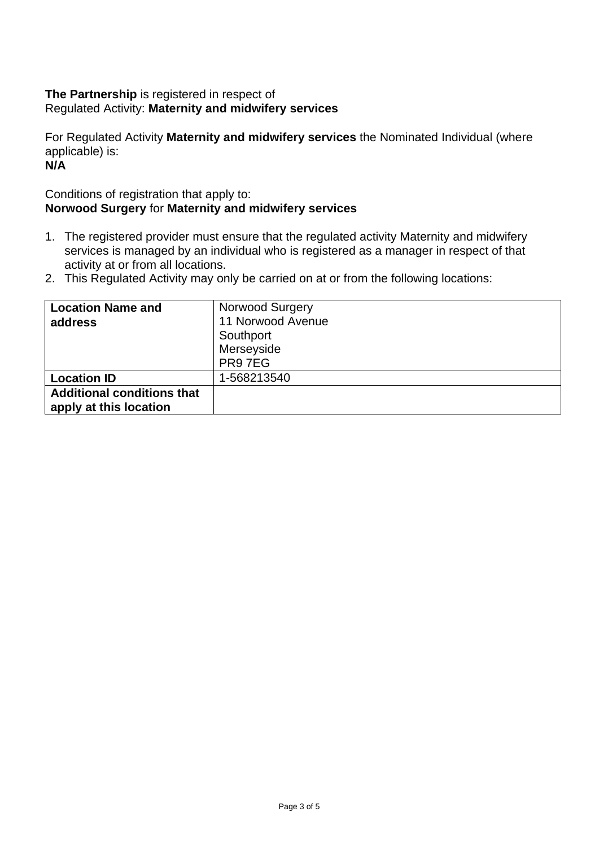# **The Partnership** is registered in respect of Regulated Activity: **Maternity and midwifery services**

For Regulated Activity **Maternity and midwifery services** the Nominated Individual (where applicable) is:

**N/A**

# Conditions of registration that apply to: **Norwood Surgery** for **Maternity and midwifery services**

- 1. The registered provider must ensure that the regulated activity Maternity and midwifery services is managed by an individual who is registered as a manager in respect of that activity at or from all locations.
- 2. This Regulated Activity may only be carried on at or from the following locations:

| <b>Location Name and</b>                                    | <b>Norwood Surgery</b> |
|-------------------------------------------------------------|------------------------|
| address                                                     | 11 Norwood Avenue      |
|                                                             | Southport              |
|                                                             | Merseyside             |
|                                                             | PR97EG                 |
| <b>Location ID</b>                                          | 1-568213540            |
| <b>Additional conditions that</b><br>apply at this location |                        |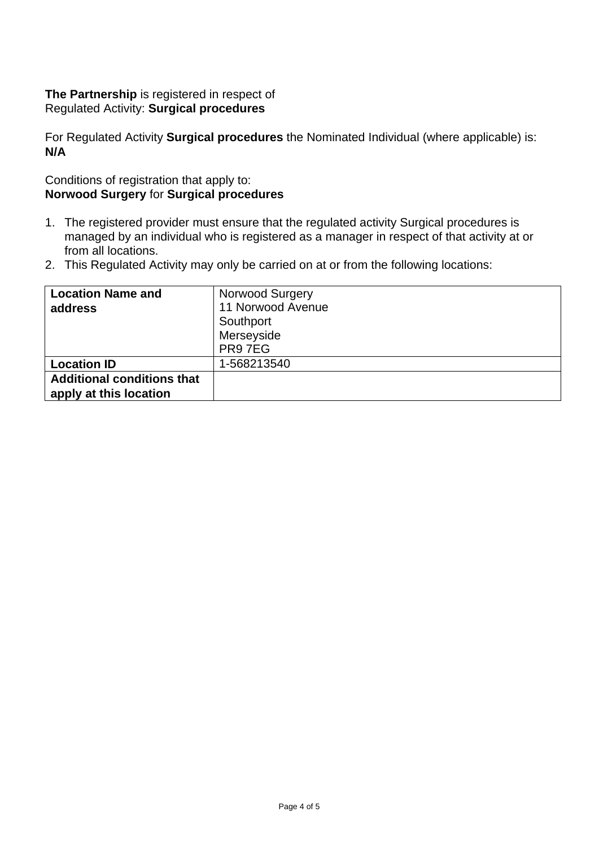## **The Partnership** is registered in respect of Regulated Activity: **Surgical procedures**

For Regulated Activity **Surgical procedures** the Nominated Individual (where applicable) is: **N/A**

## Conditions of registration that apply to: **Norwood Surgery** for **Surgical procedures**

- 1. The registered provider must ensure that the regulated activity Surgical procedures is managed by an individual who is registered as a manager in respect of that activity at or from all locations.
- 2. This Regulated Activity may only be carried on at or from the following locations:

| <b>Location Name and</b>                                    | Norwood Surgery   |
|-------------------------------------------------------------|-------------------|
| address                                                     | 11 Norwood Avenue |
|                                                             | Southport         |
|                                                             | Merseyside        |
|                                                             | PR97EG            |
| <b>Location ID</b>                                          | 1-568213540       |
| <b>Additional conditions that</b><br>apply at this location |                   |